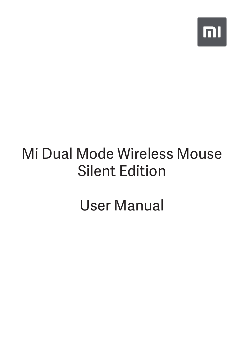

# Mi Dual Mode Wireless Mouse Silent Edition

User Manual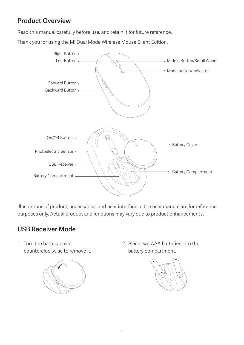### Product Overview

Read this manual carefully before use, and retain it for future reference.

Thank you for using the Mi Dual Mode Wireless Mouse Silent Edition.



Illustrations of product, accessories, and user interface in the user manual are for reference purposes only. Actual product and functions may vary due to product enhancements.

# USB Receiver Mode

1. Turn the battery cover counterclockwise to remove it.



2. Place two AAA batteries into the battery compartment.

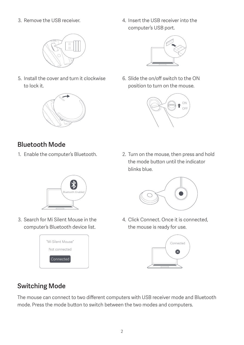

5. Install the cover and turn it clockwise to lock it.



- Bluetooth Mode
- 

3. Remove the USB receiver.  $\frac{4}{10}$  and  $\frac{4}{10}$  lnsert the USB receiver into the computer's USB port.



6. Slide the on/off switch to the ON position to turn on the mouse.



1. Enable the computer's Bluetooth. 2. Turn on the mouse, then press and hold the mode button until the indicator blinks blue.



4. Click Connect. Once it is connected, the mouse is ready for use.



Connected

### Switching Mode

The mouse can connect to two different computers with USB receiver mode and Bluetooth mode. Press the mode button to switch between the two modes and computers.



- 
- 3. Search for Mi Silent Mouse in the computer's Bluetooth device list.

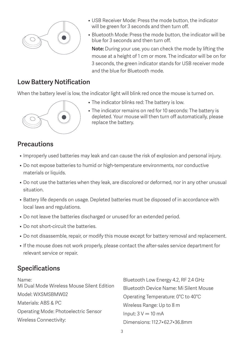

- USB Receiver Mode: Press the mode button, the indicator will be green for 3 seconds and then turn off.
- Bluetooth Mode: Press the mode button, the indicator will be blue for 3 seconds and then turn off.

Note: During your use, you can check the mode by lifting the mouse at a height of 1 cm or more. The indicator will be on for 3 seconds, the green indicator stands for USB receiver mode and the blue for Bluetooth mode.

#### Low Battery Notification

When the battery level is low, the indicator light will blink red once the mouse is turned on.



- The indicator blinks red: The battery is low.
- The indicator remains on red for 10 seconds: The battery is depleted. Your mouse will then turn off automatically, please replace the battery.

### **Precautions**

- Improperly used batteries may leak and can cause the risk of explosion and personal injury.
- Do not expose batteries to humid or high-temperature environments, nor conductive materials or liquids.
- Do not use the batteries when they leak, are discolored or deformed, nor in any other unusual situation.
- Battery life depends on usage. Depleted batteries must be disposed of in accordance with local laws and regulations.
- Do not leave the batteries discharged or unused for an extended period.
- Do not short-circuit the batteries.
- Do not disassemble, repair, or modify this mouse except for battery removal and replacement.
- If the mouse does not work properly, please contact the after-sales service department for relevant service or repair.

# Specifications

| Name:                                      | Bluetooth Low Energy 4.2, RF 2.4 GHz   |  |
|--------------------------------------------|----------------------------------------|--|
| Mi Dual Mode Wireless Mouse Silent Edition | Bluetooth Device Name: Mi Silent Mouse |  |
| Model: WXSMSBMW02                          | Operating Temperature: 0°C to 40°C     |  |
| Materials: ABS & PC                        | Wireless Range: Up to 8 m              |  |
| Operating Mode: Photoelectric Sensor       | Input: $3 V = 10 mA$                   |  |
| Wireless Connectivity:                     | Dimensions: 112.7×62.7×36.8mm          |  |